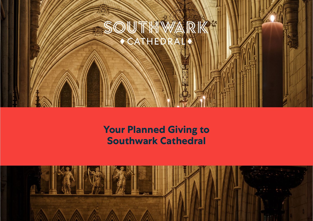

# **Your Planned Giving to Southwark Cathedral**

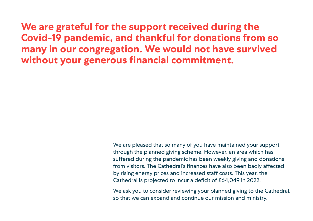**We are grateful for the support received during the Covid-19 pandemic, and thankful for donations from so many in our congregation. We would not have survived without your generous financial commitment.**

> We are pleased that so many of you have maintained your support through the planned giving scheme. However, an area which has suffered during the pandemic has been weekly giving and donations from visitors. The Cathedral's finances have also been badly affected by rising energy prices and increased staff costs. This year, the Cathedral is projected to incur a deficit of £64,049 in 2022.

We ask you to consider reviewing your planned giving to the Cathedral, so that we can expand and continue our mission and ministry.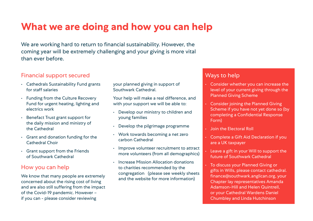# **What we are doing and how you can help**

We are working hard to return to financial sustainability. However, the coming year will be extremely challenging and your giving is more vital than ever before.

### Financial support secured

- Cathedrals Sustainability Fund grants for staff salaries
- Funding from the Culture Recovery Fund for urgent heating, lighting and electrics work
- Benefact Trust grant support for the daily mission and ministry of the Cathedral
- Grant and donation funding for the Cathedral Choir
- Grant support from the Friends of Southwark Cathedral

#### How you can help

We know that many people are extremely concerned about the rising cost of living and are also still suffering from the impact of the Covid-19 pandemic. However – if you can - please consider reviewing

your planned giving in support of Southwark Cathedral.

Your help will make a real difference, and with your support we will be able to:

- Develop our ministry to children and young families
- Develop the pilgrimage programme
- Work towards becoming a net zero carbon Cathedral
- Improve volunteer recruitment to attract more volunteers (from all demographics)
- Increase Mission Allocation donations to charities recommended by the congregation (please see weekly sheets and the website for more information)

### Ways to help

- Consider whether you can increase the level of your current giving through the Planned Giving Scheme
- Consider joining the Planned Giving Scheme if you have not yet done so (by completing a Confidential Response Form)
- Join the Electoral Roll
- Complete a Gift Aid Declaration if you are a UK taxpayer
- Leave a gift in your Will to support the future of Southwark Cathedral
- To discuss your Planned Giving or gifts in Wills, please contact cathedral. finance@southwark.anglican.org, your Chapter lay representatives Amanda Adamson-Hill and Helen Quintrell, or your Cathedral Wardens Daniel Chumbley and Linda Hutchinson